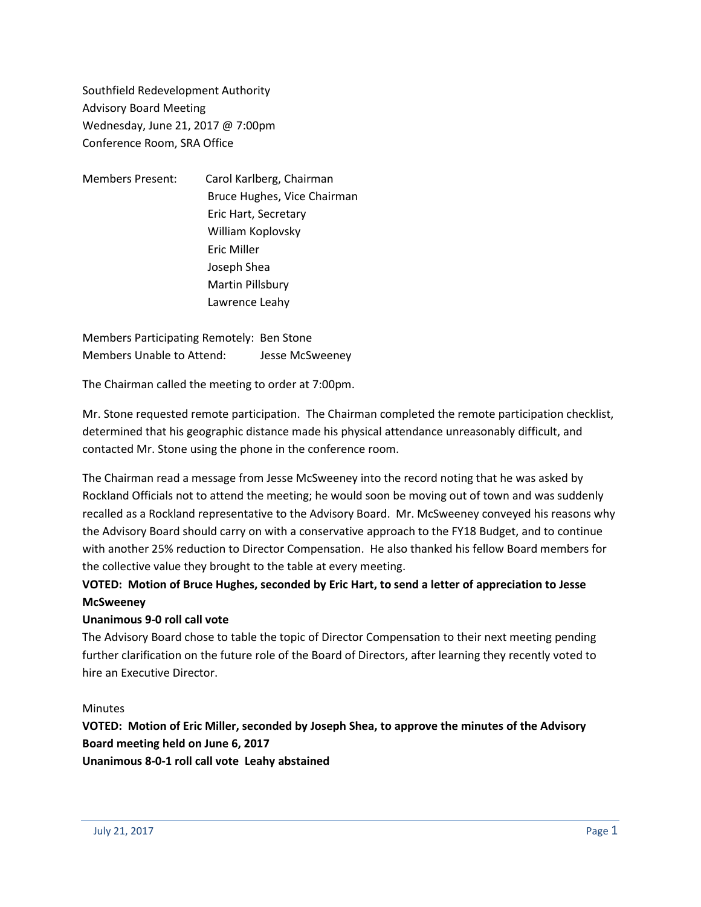Southfield Redevelopment Authority Advisory Board Meeting Wednesday, June 21, 2017 @ 7:00pm Conference Room, SRA Office

Members Present: Carol Karlberg, Chairman Bruce Hughes, Vice Chairman Eric Hart, Secretary William Koplovsky Eric Miller Joseph Shea Martin Pillsbury Lawrence Leahy

Members Participating Remotely: Ben Stone Members Unable to Attend: Jesse McSweeney

The Chairman called the meeting to order at 7:00pm.

Mr. Stone requested remote participation. The Chairman completed the remote participation checklist, determined that his geographic distance made his physical attendance unreasonably difficult, and contacted Mr. Stone using the phone in the conference room.

The Chairman read a message from Jesse McSweeney into the record noting that he was asked by Rockland Officials not to attend the meeting; he would soon be moving out of town and was suddenly recalled as a Rockland representative to the Advisory Board. Mr. McSweeney conveyed his reasons why the Advisory Board should carry on with a conservative approach to the FY18 Budget, and to continue with another 25% reduction to Director Compensation. He also thanked his fellow Board members for the collective value they brought to the table at every meeting.

## **VOTED: Motion of Bruce Hughes, seconded by Eric Hart, to send a letter of appreciation to Jesse McSweeney**

## **Unanimous 9-0 roll call vote**

The Advisory Board chose to table the topic of Director Compensation to their next meeting pending further clarification on the future role of the Board of Directors, after learning they recently voted to hire an Executive Director.

## **Minutes**

**VOTED: Motion of Eric Miller, seconded by Joseph Shea, to approve the minutes of the Advisory Board meeting held on June 6, 2017**

**Unanimous 8-0-1 roll call vote Leahy abstained**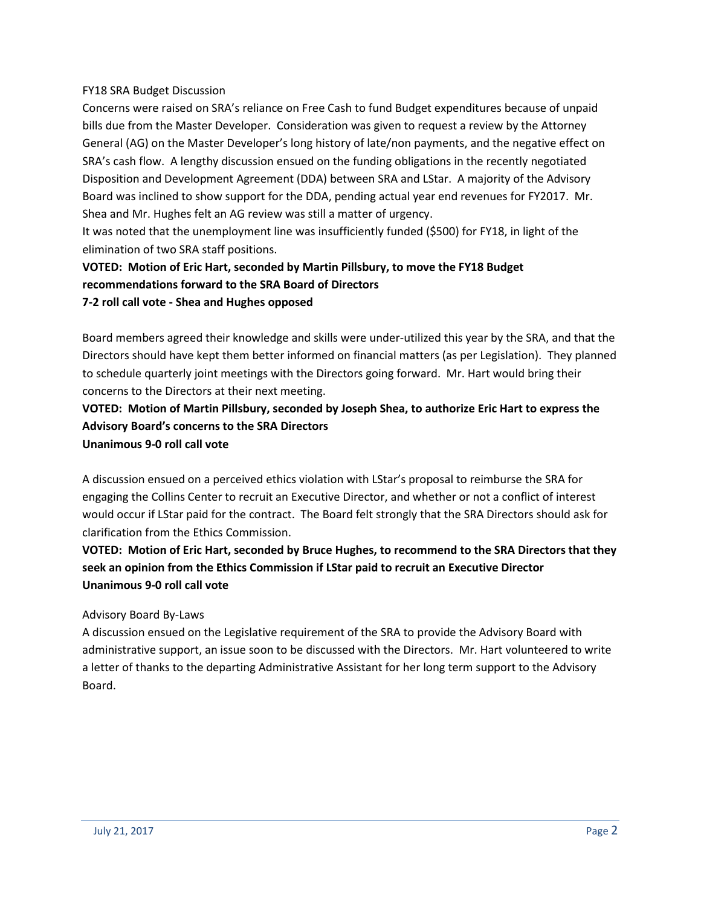#### FY18 SRA Budget Discussion

Concerns were raised on SRA's reliance on Free Cash to fund Budget expenditures because of unpaid bills due from the Master Developer. Consideration was given to request a review by the Attorney General (AG) on the Master Developer's long history of late/non payments, and the negative effect on SRA's cash flow. A lengthy discussion ensued on the funding obligations in the recently negotiated Disposition and Development Agreement (DDA) between SRA and LStar. A majority of the Advisory Board was inclined to show support for the DDA, pending actual year end revenues for FY2017. Mr. Shea and Mr. Hughes felt an AG review was still a matter of urgency.

It was noted that the unemployment line was insufficiently funded (\$500) for FY18, in light of the elimination of two SRA staff positions.

## **VOTED: Motion of Eric Hart, seconded by Martin Pillsbury, to move the FY18 Budget recommendations forward to the SRA Board of Directors 7-2 roll call vote - Shea and Hughes opposed**

Board members agreed their knowledge and skills were under-utilized this year by the SRA, and that the Directors should have kept them better informed on financial matters (as per Legislation). They planned to schedule quarterly joint meetings with the Directors going forward. Mr. Hart would bring their concerns to the Directors at their next meeting.

**VOTED: Motion of Martin Pillsbury, seconded by Joseph Shea, to authorize Eric Hart to express the Advisory Board's concerns to the SRA Directors Unanimous 9-0 roll call vote**

A discussion ensued on a perceived ethics violation with LStar's proposal to reimburse the SRA for engaging the Collins Center to recruit an Executive Director, and whether or not a conflict of interest would occur if LStar paid for the contract. The Board felt strongly that the SRA Directors should ask for clarification from the Ethics Commission.

**VOTED: Motion of Eric Hart, seconded by Bruce Hughes, to recommend to the SRA Directors that they seek an opinion from the Ethics Commission if LStar paid to recruit an Executive Director Unanimous 9-0 roll call vote**

## Advisory Board By-Laws

A discussion ensued on the Legislative requirement of the SRA to provide the Advisory Board with administrative support, an issue soon to be discussed with the Directors. Mr. Hart volunteered to write a letter of thanks to the departing Administrative Assistant for her long term support to the Advisory Board.